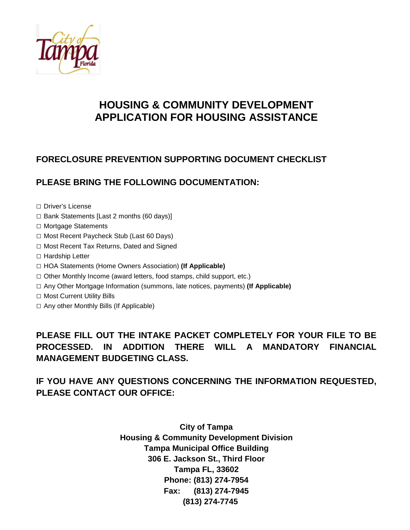

# **HOUSING & COMMUNITY DEVELOPMENT APPLICATION FOR HOUSING ASSISTANCE**

### **FORECLOSURE PREVENTION SUPPORTING DOCUMENT CHECKLIST**

### **PLEASE BRING THE FOLLOWING DOCUMENTATION:**

□ Driver's License

- □ Bank Statements [Last 2 months (60 days)]
- □ Mortgage Statements
- □ Most Recent Paycheck Stub (Last 60 Days)
- □ Most Recent Tax Returns, Dated and Signed
- □ Hardship Letter
- □ HOA Statements (Home Owners Association) **(If Applicable)**
- □ Other Monthly Income (award letters, food stamps, child support, etc.)
- □ Any Other Mortgage Information (summons, late notices, payments) **(If Applicable)**
- □ Most Current Utility Bills
- □ Any other Monthly Bills (If Applicable)

**PLEASE FILL OUT THE INTAKE PACKET COMPLETELY FOR YOUR FILE TO BE PROCESSED. IN ADDITION THERE WILL A MANDATORY FINANCIAL MANAGEMENT BUDGETING CLASS.** 

### **IF YOU HAVE ANY QUESTIONS CONCERNING THE INFORMATION REQUESTED, PLEASE CONTACT OUR OFFICE:**

**City of Tampa Housing & Community Development Division Tampa Municipal Office Building 306 E. Jackson St., Third Floor Tampa FL, 33602 Phone: (813) 274-7954 Fax: (813) 274-7945 (813) 274-7745**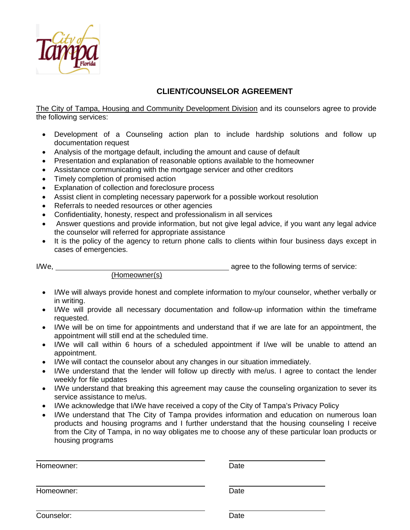

### **CLIENT/COUNSELOR AGREEMENT**

The City of Tampa, Housing and Community Development Division and its counselors agree to provide the following services:

- Development of a Counseling action plan to include hardship solutions and follow up documentation request
- Analysis of the mortgage default, including the amount and cause of default
- Presentation and explanation of reasonable options available to the homeowner
- Assistance communicating with the mortgage servicer and other creditors
- Timely completion of promised action
- Explanation of collection and foreclosure process
- Assist client in completing necessary paperwork for a possible workout resolution
- Referrals to needed resources or other agencies
- Confidentiality, honesty, respect and professionalism in all services
- Answer questions and provide information, but not give legal advice, if you want any legal advice the counselor will referred for appropriate assistance
- It is the policy of the agency to return phone calls to clients within four business days except in cases of emergencies.

I/We, agree to the following terms of service:

(Homeowner(s)

- I/We will always provide honest and complete information to my/our counselor, whether verbally or in writing.
- I/We will provide all necessary documentation and follow-up information within the timeframe requested.
- I/We will be on time for appointments and understand that if we are late for an appointment, the appointment will still end at the scheduled time.
- I/We will call within 6 hours of a scheduled appointment if I/we will be unable to attend an appointment.
- I/We will contact the counselor about any changes in our situation immediately.
- I/We understand that the lender will follow up directly with me/us. I agree to contact the lender weekly for file updates
- I/We understand that breaking this agreement may cause the counseling organization to sever its service assistance to me/us.
- I/We acknowledge that I/We have received a copy of the City of Tampa's Privacy Policy
- I/We understand that The City of Tampa provides information and education on numerous loan products and housing programs and I further understand that the housing counseling I receive from the City of Tampa, in no way obligates me to choose any of these particular loan products or housing programs

Homeowner: Date Homeowner: Date **Counselor:** Date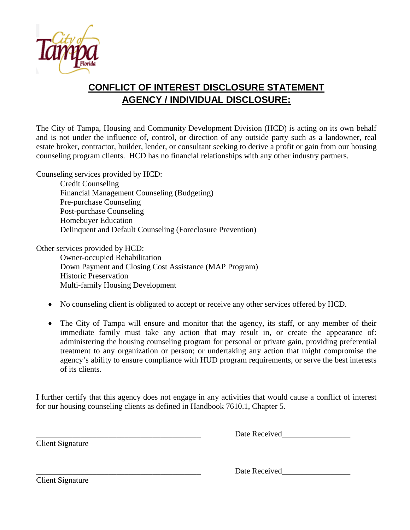

## **CONFLICT OF INTEREST DISCLOSURE STATEMENT AGENCY / INDIVIDUAL DISCLOSURE:**

The City of Tampa, Housing and Community Development Division (HCD) is acting on its own behalf and is not under the influence of, control, or direction of any outside party such as a landowner, real estate broker, contractor, builder, lender, or consultant seeking to derive a profit or gain from our housing counseling program clients. HCD has no financial relationships with any other industry partners.

Counseling services provided by HCD: Credit Counseling Financial Management Counseling (Budgeting) Pre-purchase Counseling Post-purchase Counseling Homebuyer Education Delinquent and Default Counseling (Foreclosure Prevention)

Other services provided by HCD:

Owner-occupied Rehabilitation Down Payment and Closing Cost Assistance (MAP Program) Historic Preservation Multi-family Housing Development

- No counseling client is obligated to accept or receive any other services offered by HCD.
- The City of Tampa will ensure and monitor that the agency, its staff, or any member of their immediate family must take any action that may result in, or create the appearance of: administering the housing counseling program for personal or private gain, providing preferential treatment to any organization or person; or undertaking any action that might compromise the agency's ability to ensure compliance with HUD program requirements, or serve the best interests of its clients.

I further certify that this agency does not engage in any activities that would cause a conflict of interest for our housing counseling clients as defined in Handbook 7610.1, Chapter 5.

Client Signature

Date Received

\_\_\_\_\_\_\_\_\_\_\_\_\_\_\_\_\_\_\_\_\_\_\_\_\_\_\_\_\_\_\_\_\_\_\_\_\_\_\_\_\_ Date Received\_\_\_\_\_\_\_\_\_\_\_\_\_\_\_\_\_

Client Signature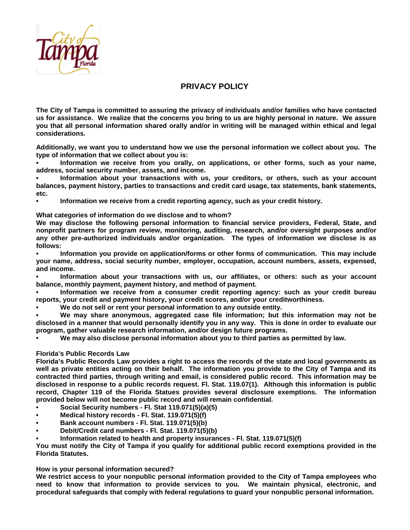

#### **PRIVACY POLICY**

**The City of Tampa is committed to assuring the privacy of individuals and/or families who have contacted us for assistance. We realize that the concerns you bring to us are highly personal in nature. We assure you that all personal information shared orally and/or in writing will be managed within ethical and legal considerations.** 

**Additionally, we want you to understand how we use the personal information we collect about you. The type of information that we collect about you is:**

**• Information we receive from you orally, on applications, or other forms, such as your name, address, social security number, assets, and income.**

**• Information about your transactions with us, your creditors, or others, such as your account balances, payment history, parties to transactions and credit card usage, tax statements, bank statements, etc.**

**• Information we receive from a credit reporting agency, such as your credit history.**

**What categories of information do we disclose and to whom?**

**We may disclose the following personal information to financial service providers, Federal, State, and nonprofit partners for program review, monitoring, auditing, research, and/or oversight purposes and/or any other pre-authorized individuals and/or organization. The types of information we disclose is as follows:**

**• Information you provide on application/forms or other forms of communication. This may include your name, address, social security number, employer, occupation, account numbers, assets, expensed, and income.**

**• Information about your transactions with us, our affiliates, or others: such as your account balance, monthly payment, payment history, and method of payment.**

**• Information we receive from a consumer credit reporting agency: such as your credit bureau reports, your credit and payment history, your credit scores, and/or your creditworthiness.**

**• We do not sell or rent your personal information to any outside entity.**

**• We may share anonymous, aggregated case file information; but this information may not be disclosed in a manner that would personally identify you in any way. This is done in order to evaluate our program, gather valuable research information, and/or design future programs.**

**• We may also disclose personal information about you to third parties as permitted by law.**

#### **Florida's Public Records Law**

**Florida's Public Records Law provides a right to access the records of the state and local governments as well as private entities acting on their behalf. The information you provide to the City of Tampa and its contracted third parties, through writing and email, is considered public record. This information may be disclosed in response to a public records request. Fl. Stat. 119.07(1). Although this information is public record, Chapter 119 of the Florida Statues provides several disclosure exemptions. The information provided below will not become public record and will remain confidential.**

- **• Social Security numbers - Fl. Stat 119.071(5)(a)(5)**
- **• Medical history records - Fl. Stat. 119.071(5)(f)**
- **• Bank account numbers - Fl. Stat. 119.071(5)(b)**
- **• Debit/Credit card numbers - Fl. Stat. 119.071(5)(b)**
- **• Information related to health and property insurances - Fl. Stat. 119.071(5)(f)**

**You must notify the City of Tampa if you qualify for additional public record exemptions provided in the Florida Statutes.**

#### **How is your personal information secured?**

**We restrict access to your nonpublic personal information provided to the City of Tampa employees who need to know that information to provide services to you. We maintain physical, electronic, and procedural safeguards that comply with federal regulations to guard your nonpublic personal information.**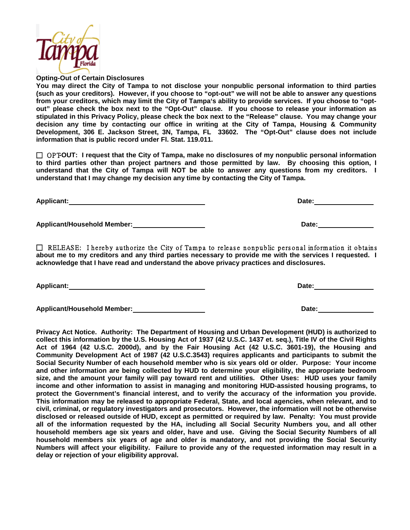

**Opting-Out of Certain Disclosures**

**You may direct the City of Tampa to not disclose your nonpublic personal information to third parties (such as your creditors). However, if you choose to "opt-out" we will not be able to answer any questions from your creditors, which may limit the City of Tampa's ability to provide services. If you choose to "optout" please check the box next to the "Opt-Out" clause. If you choose to release your information as stipulated in this Privacy Policy, please check the box next to the "Release" clause. You may change your decision any time by contacting our office in writing at the City of Tampa, Housing & Community Development, 306 E. Jackson Street, 3N, Tampa, FL 33602. The "Opt-Out" clause does not include information that is public record under Fl. Stat. 119.011.** 

□ OPTOUT: I request that the City of Tampa, make no disclosures of my nonpublic personal information **to third parties other than project partners and those permitted by law. By choosing this option, I understand that the City of Tampa will NOT be able to answer any questions from my creditors. I understand that I may change my decision any time by contacting the City of Tampa.**

**Applicant/Household Member: Date:**

 $\Box$  RELEASE: I hereby authorize the City of Tampa to release nonpublic personal information it obtains **about me to my creditors and any third parties necessary to provide me with the services I requested. I acknowledge that I have read and understand the above privacy practices and disclosures.**

**Applicant:** Date: **Date:** Date: **Date:** Date: **Date: Date: Date: Date: Date: Date: Date: Date: Date: Date: Date: Date: Date: Date: Date: Date: Date: Date: Date: Date: Date: Date:** 

**Applicant/Household Member: Date:**

**Privacy Act Notice. Authority: The Department of Housing and Urban Development (HUD) is authorized to collect this information by the U.S. Housing Act of 1937 (42 U.S.C. 1437 et. seq.), Title IV of the Civil Rights Act of 1964 (42 U.S.C. 2000d), and by the Fair Housing Act (42 U.S.C. 3601-19), the Housing and Community Development Act of 1987 (42 U.S.C.3543) requires applicants and participants to submit the Social Security Number of each household member who is six years old or older. Purpose: Your income and other information are being collected by HUD to determine your eligibility, the appropriate bedroom size, and the amount your family will pay toward rent and utilities. Other Uses: HUD uses your family income and other information to assist in managing and monitoring HUD-assisted housing programs, to protect the Government's financial interest, and to verify the accuracy of the information you provide. This information may be released to appropriate Federal, State, and local agencies, when relevant, and to civil, criminal, or regulatory investigators and prosecutors. However, the information will not be otherwise disclosed or released outside of HUD, except as permitted or required by law. Penalty: You must provide all of the information requested by the HA, including all Social Security Numbers you, and all other household members age six years and older, have and use. Giving the Social Security Numbers of all household members six years of age and older is mandatory, and not providing the Social Security Numbers will affect your eligibility. Failure to provide any of the requested information may result in a delay or rejection of your eligibility approval.**

**Applicant:** Date: Date: Date: Date: Date: Date: Date: Date: Date: Date: Date: Date: Date: Date: Date: Date: Date: Date: Date: Date: Date: Date: Date: Date: Date: Date: Date: Date: Date: Date: Date: Date: Date: Date: Date: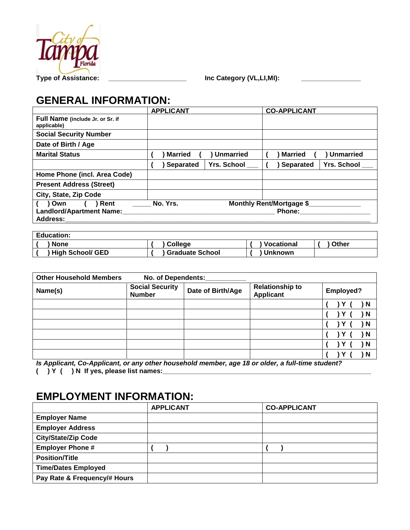

# **GENERAL INFORMATION:**

|                                                 | <b>APPLICANT</b>                       | <b>CO-APPLICANT</b>                    |
|-------------------------------------------------|----------------------------------------|----------------------------------------|
| Full Name (include Jr. or Sr. if<br>applicable) |                                        |                                        |
| <b>Social Security Number</b>                   |                                        |                                        |
| Date of Birth / Age                             |                                        |                                        |
| <b>Marital Status</b>                           | <b>Married</b><br>) Unmarried          | <b>Married</b><br><b>Unmarried</b>     |
|                                                 | <b>Yrs. School</b><br><b>Separated</b> | <b>Yrs. School</b><br><b>Separated</b> |
| Home Phone (incl. Area Code)                    |                                        |                                        |
| <b>Present Address (Street)</b>                 |                                        |                                        |
| City, State, Zip Code                           |                                        |                                        |
| Rent<br>Own                                     | No. Yrs.                               | Monthly Rent/Mortgage \$               |
| <b>Landlord/Apartment Name:</b><br>Address:     |                                        | <b>Phone:</b>                          |

| <b>Education:</b>       |                        |                |       |
|-------------------------|------------------------|----------------|-------|
| <b>None</b>             | <b>College</b>         | Vocational     | Other |
| <b>High School/ GED</b> | <b>Graduate School</b> | <b>Unknown</b> |       |

| <b>Other Household Members</b> | No. of Dependents:                      |                   |                                            |                  |
|--------------------------------|-----------------------------------------|-------------------|--------------------------------------------|------------------|
| Name(s)                        | <b>Social Security</b><br><b>Number</b> | Date of Birth/Age | <b>Relationship to</b><br><b>Applicant</b> | <b>Employed?</b> |
|                                |                                         |                   |                                            | ΙN               |
|                                |                                         |                   |                                            | ) N              |
|                                |                                         |                   |                                            | ) N              |
|                                |                                         |                   |                                            | N                |
|                                |                                         |                   |                                            | N                |
|                                |                                         |                   |                                            | N                |

*Is Applicant, Co-Applicant, or any other household member, age 18 or older, a full-time student?*

**( ) Y ( ) N If yes, please list names:\_\_\_\_\_\_\_\_\_\_\_\_\_\_\_\_\_\_\_\_\_\_\_\_\_\_\_\_\_\_\_\_\_\_\_\_\_\_\_\_\_\_\_\_\_\_\_\_\_\_\_\_\_\_\_\_**

# **EMPLOYMENT INFORMATION:**

|                              | <b>APPLICANT</b> | <b>CO-APPLICANT</b> |
|------------------------------|------------------|---------------------|
| <b>Employer Name</b>         |                  |                     |
| <b>Employer Address</b>      |                  |                     |
| <b>City/State/Zip Code</b>   |                  |                     |
| <b>Employer Phone #</b>      |                  |                     |
| <b>Position/Title</b>        |                  |                     |
| <b>Time/Dates Employed</b>   |                  |                     |
| Pay Rate & Frequency/# Hours |                  |                     |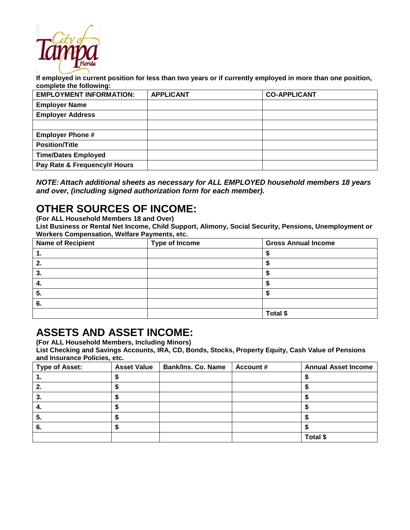

**If employed in current position for less than two years or if currently employed in more than one position, complete the following:**

| <b>EMPLOYMENT INFORMATION:</b> | <b>APPLICANT</b> | <b>CO-APPLICANT</b> |
|--------------------------------|------------------|---------------------|
| <b>Employer Name</b>           |                  |                     |
| <b>Employer Address</b>        |                  |                     |
|                                |                  |                     |
| <b>Employer Phone #</b>        |                  |                     |
| <b>Position/Title</b>          |                  |                     |
| <b>Time/Dates Employed</b>     |                  |                     |
| Pay Rate & Frequency/# Hours   |                  |                     |
|                                |                  |                     |

| NOTE: Attach additional sheets as necessary for ALL EMPLOYED household members 18 years |  |
|-----------------------------------------------------------------------------------------|--|
| and over, (including signed authorization form for each member).                        |  |

# **OTHER SOURCES OF INCOME:**

**(For ALL Household Members 18 and Over)**

**List Business or Rental Net Income, Child Support, Alimony, Social Security, Pensions, Unemployment or Workers Compensation, Welfare Payments, etc.**

| <b>Name of Recipient</b> | <b>Type of Income</b> | <b>Gross Annual Income</b> |
|--------------------------|-----------------------|----------------------------|
| . .                      |                       |                            |
| 2.                       |                       |                            |
| 3.                       |                       |                            |
| 4.                       |                       |                            |
| 5.                       |                       |                            |
| 6.                       |                       |                            |
|                          |                       | Total \$                   |

### **ASSETS AND ASSET INCOME:**

**(For ALL Household Members, Including Minors)**

**List Checking and Savings Accounts, IRA, CD, Bonds, Stocks, Property Equity, Cash Value of Pensions and Insurance Policies, etc.**

| <b>Type of Asset:</b> | <b>Asset Value</b> | <b>Bank/Ins. Co. Name</b> | <b>Account #</b> | <b>Annual Asset Income</b> |
|-----------------------|--------------------|---------------------------|------------------|----------------------------|
| . .                   |                    |                           |                  |                            |
|                       |                    |                           |                  |                            |
| 3.                    |                    |                           |                  |                            |
| 4.                    |                    |                           |                  |                            |
| 5.                    |                    |                           |                  |                            |
| -6.                   |                    |                           |                  |                            |
|                       |                    |                           |                  | Total \$                   |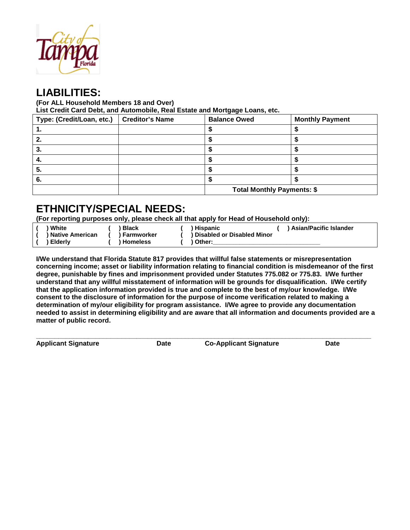

## **LIABILITIES:**

**(For ALL Household Members 18 and Over)**

**List Credit Card Debt, and Automobile, Real Estate and Mortgage Loans, etc.**

| Type: (Credit/Loan, etc.) | <b>Creditor's Name</b> | <b>Balance Owed</b>               | <b>Monthly Payment</b> |
|---------------------------|------------------------|-----------------------------------|------------------------|
|                           |                        |                                   |                        |
| 2.                        |                        |                                   |                        |
| 3.                        |                        |                                   |                        |
| 4.                        |                        |                                   |                        |
| -5.                       |                        |                                   |                        |
| 6.                        |                        |                                   |                        |
|                           |                        | <b>Total Monthly Payments: \$</b> |                        |

# **ETHNICITY/SPECIAL NEEDS:**

**(For reporting purposes only, please check all that apply for Head of Household only):**

| ) White      |
|--------------|
| ) Native Ame |
| ) Elderly    |

**( ) White ( ) Black ( ) Hispanic ( ) Asian/Pacific Islander (** ) Disabled or Disabled Minor<br>1 Homeless ( ) Other:

**( ) Elderly ( ) Homeless ( ) Other:\_\_\_\_\_\_\_\_\_\_\_\_\_\_\_\_\_\_\_\_\_\_\_\_\_\_\_\_\_\_\_\_**

**I/We understand that Florida Statute 817 provides that willful false statements or misrepresentation concerning income; asset or liability information relating to financial condition is misdemeanor of the first degree, punishable by fines and imprisonment provided under Statutes 775.082 or 775.83. I/We further understand that any willful misstatement of information will be grounds for disqualification. I/We certify that the application information provided is true and complete to the best of my/our knowledge. I/We consent to the disclosure of information for the purpose of income verification related to making a determination of my/our eligibility for program assistance. I/We agree to provide any documentation needed to assist in determining eligibility and are aware that all information and documents provided are a matter of public record.**

**\_\_\_\_\_\_\_\_\_\_\_\_\_\_\_\_\_\_\_\_\_\_\_\_\_\_\_\_\_\_\_\_\_\_\_\_\_\_\_\_\_\_\_\_\_\_\_\_\_\_\_\_\_\_\_\_\_\_\_\_\_\_\_\_\_\_\_\_\_\_\_\_\_\_\_\_\_\_\_\_\_\_\_\_\_\_\_\_\_\_ Applicant Signature Date Co-Applicant Signature Date**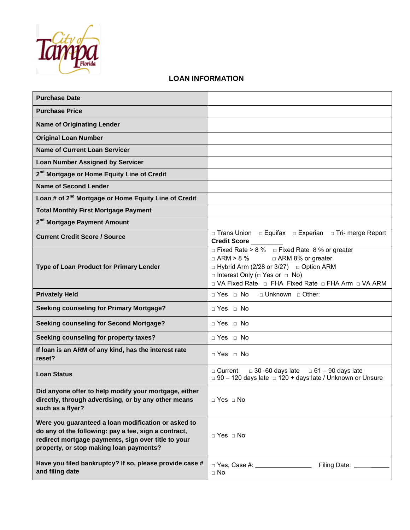

### **LOAN INFORMATION**

| <b>Purchase Date</b>                                                                                                                                                                                          |                                                                                                                                                                                                                                                           |
|---------------------------------------------------------------------------------------------------------------------------------------------------------------------------------------------------------------|-----------------------------------------------------------------------------------------------------------------------------------------------------------------------------------------------------------------------------------------------------------|
| <b>Purchase Price</b>                                                                                                                                                                                         |                                                                                                                                                                                                                                                           |
| <b>Name of Originating Lender</b>                                                                                                                                                                             |                                                                                                                                                                                                                                                           |
| <b>Original Loan Number</b>                                                                                                                                                                                   |                                                                                                                                                                                                                                                           |
| <b>Name of Current Loan Servicer</b>                                                                                                                                                                          |                                                                                                                                                                                                                                                           |
| <b>Loan Number Assigned by Servicer</b>                                                                                                                                                                       |                                                                                                                                                                                                                                                           |
| 2 <sup>nd</sup> Mortgage or Home Equity Line of Credit                                                                                                                                                        |                                                                                                                                                                                                                                                           |
| <b>Name of Second Lender</b>                                                                                                                                                                                  |                                                                                                                                                                                                                                                           |
| Loan # of 2 <sup>nd</sup> Mortgage or Home Equity Line of Credit                                                                                                                                              |                                                                                                                                                                                                                                                           |
| <b>Total Monthly First Mortgage Payment</b>                                                                                                                                                                   |                                                                                                                                                                                                                                                           |
| 2 <sup>nd</sup> Mortgage Payment Amount                                                                                                                                                                       |                                                                                                                                                                                                                                                           |
| <b>Current Credit Score / Source</b>                                                                                                                                                                          | □ Trans Union □ Equifax □ Experian □ Tri- merge Report<br>Credit Score                                                                                                                                                                                    |
| Type of Loan Product for Primary Lender                                                                                                                                                                       | $\Box$ Fixed Rate > 8 % $\Box$ Fixed Rate 8 % or greater<br>□ ARM 8% or greater<br>$\Box$ ARM > 8 %<br>□ Hybrid Arm (2/28 or 3/27) □ Option ARM<br>$\Box$ Interest Only ( $\Box$ Yes or $\Box$ No)<br>□ VA Fixed Rate □ FHA Fixed Rate □ FHA Arm □ VA ARM |
| <b>Privately Held</b>                                                                                                                                                                                         | □ Yes □ No □ Unknown □ Other:                                                                                                                                                                                                                             |
| <b>Seeking counseling for Primary Mortgage?</b>                                                                                                                                                               | $\Box$ Yes $\Box$ No                                                                                                                                                                                                                                      |
| <b>Seeking counseling for Second Mortgage?</b>                                                                                                                                                                | □ Yes □ No                                                                                                                                                                                                                                                |
| Seeking counseling for property taxes?                                                                                                                                                                        | □ Yes □ No                                                                                                                                                                                                                                                |
| If loan is an ARM of any kind, has the interest rate<br>reset?                                                                                                                                                | □ Yes □ No                                                                                                                                                                                                                                                |
| <b>Loan Status</b>                                                                                                                                                                                            | $\Box$ 30 -60 days late<br>$\Box$ 61 – 90 days late<br>$\sqcap$ Current $\sqcap$<br>$\Box$ 90 - 120 days late $\Box$ 120 + days late / Unknown or Unsure                                                                                                  |
| Did anyone offer to help modify your mortgage, either<br>directly, through advertising, or by any other means<br>such as a flyer?                                                                             | $\Box$ Yes $\Box$ No                                                                                                                                                                                                                                      |
| Were you guaranteed a loan modification or asked to<br>do any of the following: pay a fee, sign a contract,<br>redirect mortgage payments, sign over title to your<br>property, or stop making loan payments? | $\Box$ Yes $\Box$ No                                                                                                                                                                                                                                      |
| Have you filed bankruptcy? If so, please provide case #<br>and filing date                                                                                                                                    | □ Yes, Case #: ___________________<br>Filing Date: _<br>$\Box$ No                                                                                                                                                                                         |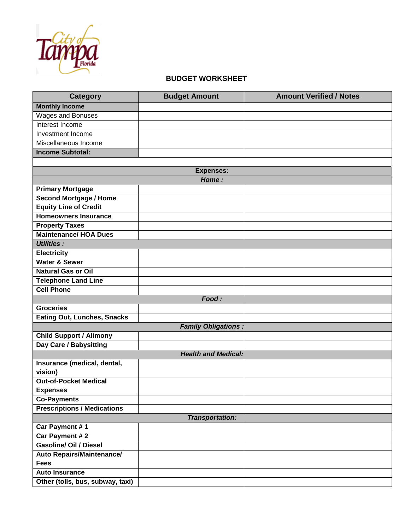

#### **BUDGET WORKSHEET**

| <b>Category</b>                    | <b>Budget Amount</b>       | <b>Amount Verified / Notes</b> |
|------------------------------------|----------------------------|--------------------------------|
| <b>Monthly Income</b>              |                            |                                |
| Wages and Bonuses                  |                            |                                |
| Interest Income                    |                            |                                |
| Investment Income                  |                            |                                |
| Miscellaneous Income               |                            |                                |
| <b>Income Subtotal:</b>            |                            |                                |
|                                    |                            |                                |
|                                    | <b>Expenses:</b>           |                                |
|                                    | Home:                      |                                |
| <b>Primary Mortgage</b>            |                            |                                |
| <b>Second Mortgage / Home</b>      |                            |                                |
| <b>Equity Line of Credit</b>       |                            |                                |
| <b>Homeowners Insurance</b>        |                            |                                |
| <b>Property Taxes</b>              |                            |                                |
| <b>Maintenance/ HOA Dues</b>       |                            |                                |
| <b>Utilities:</b>                  |                            |                                |
| <b>Electricity</b>                 |                            |                                |
| <b>Water &amp; Sewer</b>           |                            |                                |
| <b>Natural Gas or Oil</b>          |                            |                                |
| <b>Telephone Land Line</b>         |                            |                                |
| <b>Cell Phone</b>                  |                            |                                |
|                                    | Food:                      |                                |
| <b>Groceries</b>                   |                            |                                |
| <b>Eating Out, Lunches, Snacks</b> |                            |                                |
|                                    | <b>Family Obligations:</b> |                                |
| <b>Child Support / Alimony</b>     |                            |                                |
| Day Care / Babysitting             |                            |                                |
|                                    | <b>Health and Medical:</b> |                                |
| Insurance (medical, dental,        |                            |                                |
| vision)                            |                            |                                |
| <b>Out-of-Pocket Medical</b>       |                            |                                |
| <b>Expenses</b>                    |                            |                                |
| <b>Co-Payments</b>                 |                            |                                |
| <b>Prescriptions / Medications</b> |                            |                                |
|                                    | <b>Transportation:</b>     |                                |
| Car Payment #1                     |                            |                                |
| Car Payment # 2                    |                            |                                |
| <b>Gasoline/ Oil / Diesel</b>      |                            |                                |
| <b>Auto Repairs/Maintenance/</b>   |                            |                                |
| <b>Fees</b>                        |                            |                                |
| <b>Auto Insurance</b>              |                            |                                |
| Other (tolls, bus, subway, taxi)   |                            |                                |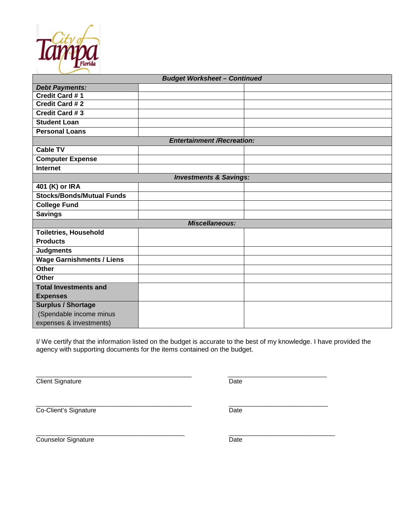

| <b>Budget Worksheet - Continued</b> |  |  |  |  |  |
|-------------------------------------|--|--|--|--|--|
| <b>Debt Payments:</b>               |  |  |  |  |  |
| Credit Card #1                      |  |  |  |  |  |
| Credit Card # 2                     |  |  |  |  |  |
| <b>Credit Card #3</b>               |  |  |  |  |  |
| <b>Student Loan</b>                 |  |  |  |  |  |
| <b>Personal Loans</b>               |  |  |  |  |  |
| <b>Entertainment /Recreation:</b>   |  |  |  |  |  |
| <b>Cable TV</b>                     |  |  |  |  |  |
| <b>Computer Expense</b>             |  |  |  |  |  |
| Internet                            |  |  |  |  |  |
| <b>Investments &amp; Savings:</b>   |  |  |  |  |  |
| 401 (K) or IRA                      |  |  |  |  |  |
| <b>Stocks/Bonds/Mutual Funds</b>    |  |  |  |  |  |
| <b>College Fund</b>                 |  |  |  |  |  |
| <b>Savings</b>                      |  |  |  |  |  |
| <b>Miscellaneous:</b>               |  |  |  |  |  |
| <b>Toiletries, Household</b>        |  |  |  |  |  |
| <b>Products</b>                     |  |  |  |  |  |
| <b>Judgments</b>                    |  |  |  |  |  |
| <b>Wage Garnishments / Liens</b>    |  |  |  |  |  |
| <b>Other</b>                        |  |  |  |  |  |
| <b>Other</b>                        |  |  |  |  |  |
| <b>Total Investments and</b>        |  |  |  |  |  |
| <b>Expenses</b>                     |  |  |  |  |  |
| <b>Surplus / Shortage</b>           |  |  |  |  |  |
| (Spendable income minus             |  |  |  |  |  |
| expenses & investments)             |  |  |  |  |  |

I/ We certify that the information listed on the budget is accurate to the best of my knowledge. I have provided the agency with supporting documents for the items contained on the budget.

\_\_\_\_\_\_\_\_\_\_\_\_\_\_\_\_\_\_\_\_\_\_\_\_\_\_\_\_\_\_\_\_\_\_\_\_\_\_\_\_\_\_\_\_ \_\_\_\_\_\_\_\_\_\_\_\_\_\_\_\_\_\_\_\_\_\_\_\_\_\_\_\_

Client Signature Date

\_\_\_\_\_\_\_\_\_\_\_\_\_\_\_\_\_\_\_\_\_\_\_\_\_\_\_\_\_\_\_\_\_\_\_\_\_\_\_\_\_\_\_\_ \_\_\_\_\_\_\_\_\_\_\_\_\_\_\_\_\_\_\_\_\_\_\_\_\_\_\_\_ Co-Client's Signature Date

Counselor Signature Date

\_\_\_\_\_\_\_\_\_\_\_\_\_\_\_\_\_\_\_\_\_\_\_\_\_\_\_\_\_\_\_\_\_\_\_\_\_\_\_\_\_\_ \_\_\_\_\_\_\_\_\_\_\_\_\_\_\_\_\_\_\_\_\_\_\_\_\_\_\_\_\_\_